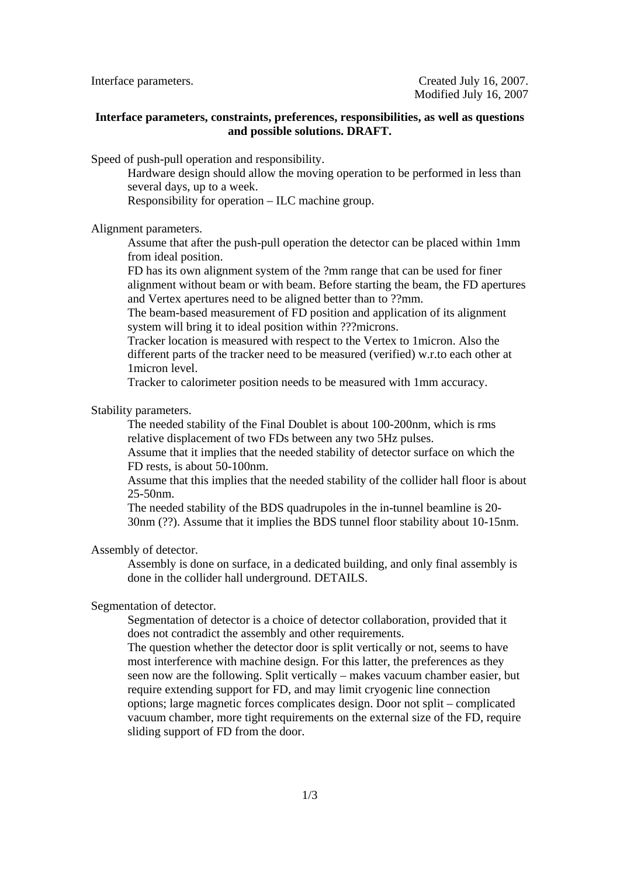# **Interface parameters, constraints, preferences, responsibilities, as well as questions and possible solutions. DRAFT.**

Speed of push-pull operation and responsibility.

Hardware design should allow the moving operation to be performed in less than several days, up to a week.

Responsibility for operation – ILC machine group.

Alignment parameters.

Assume that after the push-pull operation the detector can be placed within 1mm from ideal position.

FD has its own alignment system of the ?mm range that can be used for finer alignment without beam or with beam. Before starting the beam, the FD apertures and Vertex apertures need to be aligned better than to ??mm.

The beam-based measurement of FD position and application of its alignment system will bring it to ideal position within ???microns.

Tracker location is measured with respect to the Vertex to 1micron. Also the different parts of the tracker need to be measured (verified) w.r.to each other at 1micron level.

Tracker to calorimeter position needs to be measured with 1mm accuracy.

Stability parameters.

The needed stability of the Final Doublet is about 100-200nm, which is rms relative displacement of two FDs between any two 5Hz pulses.

Assume that it implies that the needed stability of detector surface on which the FD rests, is about 50-100nm.

Assume that this implies that the needed stability of the collider hall floor is about 25-50nm.

The needed stability of the BDS quadrupoles in the in-tunnel beamline is 20- 30nm (??). Assume that it implies the BDS tunnel floor stability about 10-15nm.

Assembly of detector.

Assembly is done on surface, in a dedicated building, and only final assembly is done in the collider hall underground. DETAILS.

Segmentation of detector.

Segmentation of detector is a choice of detector collaboration, provided that it does not contradict the assembly and other requirements.

The question whether the detector door is split vertically or not, seems to have most interference with machine design. For this latter, the preferences as they seen now are the following. Split vertically – makes vacuum chamber easier, but require extending support for FD, and may limit cryogenic line connection options; large magnetic forces complicates design. Door not split – complicated vacuum chamber, more tight requirements on the external size of the FD, require sliding support of FD from the door.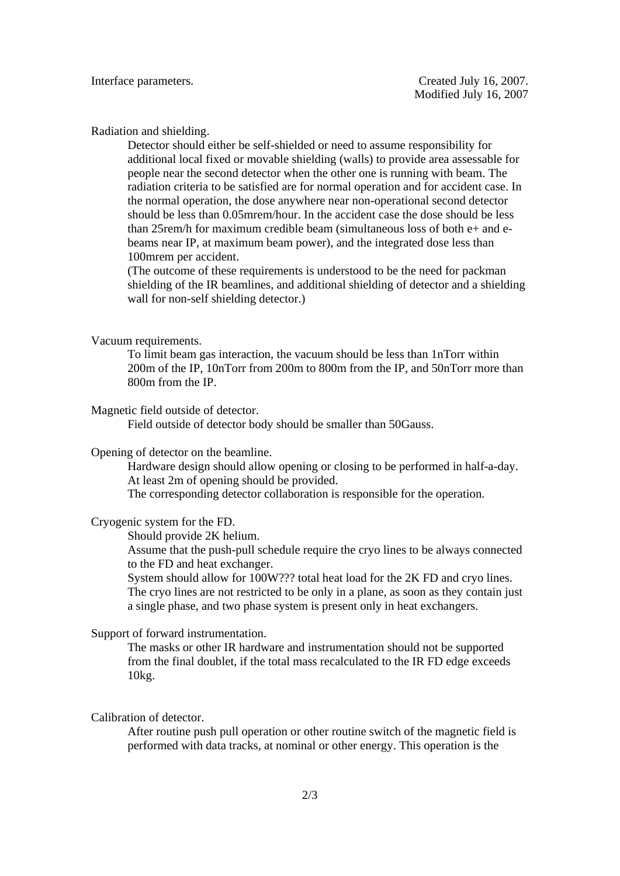### Radiation and shielding.

Detector should either be self-shielded or need to assume responsibility for additional local fixed or movable shielding (walls) to provide area assessable for people near the second detector when the other one is running with beam. The radiation criteria to be satisfied are for normal operation and for accident case. In the normal operation, the dose anywhere near non-operational second detector should be less than 0.05mrem/hour. In the accident case the dose should be less than 25rem/h for maximum credible beam (simultaneous loss of both e+ and ebeams near IP, at maximum beam power), and the integrated dose less than 100mrem per accident.

(The outcome of these requirements is understood to be the need for packman shielding of the IR beamlines, and additional shielding of detector and a shielding wall for non-self shielding detector.)

#### Vacuum requirements.

To limit beam gas interaction, the vacuum should be less than 1nTorr within 200m of the IP, 10nTorr from 200m to 800m from the IP, and 50nTorr more than 800m from the IP.

#### Magnetic field outside of detector.

Field outside of detector body should be smaller than 50Gauss.

# Opening of detector on the beamline.

Hardware design should allow opening or closing to be performed in half-a-day. At least 2m of opening should be provided.

The corresponding detector collaboration is responsible for the operation.

### Cryogenic system for the FD.

Should provide 2K helium.

Assume that the push-pull schedule require the cryo lines to be always connected to the FD and heat exchanger.

System should allow for 100W??? total heat load for the 2K FD and cryo lines. The cryo lines are not restricted to be only in a plane, as soon as they contain just a single phase, and two phase system is present only in heat exchangers.

# Support of forward instrumentation.

The masks or other IR hardware and instrumentation should not be supported from the final doublet, if the total mass recalculated to the IR FD edge exceeds 10kg.

# Calibration of detector.

After routine push pull operation or other routine switch of the magnetic field is performed with data tracks, at nominal or other energy. This operation is the